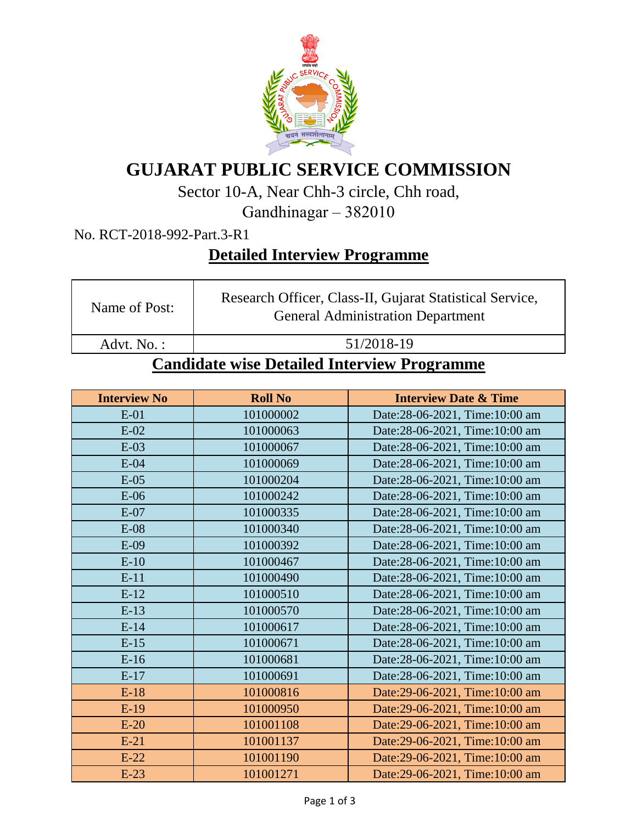

## **GUJARAT PUBLIC SERVICE COMMISSION**

Sector 10-A, Near Chh-3 circle, Chh road,

Gandhinagar – 382010

No. RCT-2018-992-Part.3-R1

## **Detailed Interview Programme**

| Name of Post:                                | Research Officer, Class-II, Gujarat Statistical Service,<br><b>General Administration Department</b> |  |  |
|----------------------------------------------|------------------------------------------------------------------------------------------------------|--|--|
| Advt. No.:                                   | 51/2018-19                                                                                           |  |  |
| Condidate wise Detailed Interview Dreampment |                                                                                                      |  |  |

## **Candidate wise Detailed Interview Programme**

| <b>Interview No</b> | <b>Roll No</b> | <b>Interview Date &amp; Time</b> |
|---------------------|----------------|----------------------------------|
| $E-01$              | 101000002      | Date:28-06-2021, Time:10:00 am   |
| $E-02$              | 101000063      | Date:28-06-2021, Time:10:00 am   |
| $E-03$              | 101000067      | Date:28-06-2021, Time:10:00 am   |
| $E-04$              | 101000069      | Date:28-06-2021, Time:10:00 am   |
| $E-05$              | 101000204      | Date:28-06-2021, Time:10:00 am   |
| $E-06$              | 101000242      | Date:28-06-2021, Time:10:00 am   |
| $E-07$              | 101000335      | Date:28-06-2021, Time:10:00 am   |
| $E-08$              | 101000340      | Date:28-06-2021, Time:10:00 am   |
| $E-09$              | 101000392      | Date:28-06-2021, Time:10:00 am   |
| $E-10$              | 101000467      | Date:28-06-2021, Time:10:00 am   |
| $E-11$              | 101000490      | Date:28-06-2021, Time:10:00 am   |
| $E-12$              | 101000510      | Date:28-06-2021, Time:10:00 am   |
| $E-13$              | 101000570      | Date:28-06-2021, Time:10:00 am   |
| $E-14$              | 101000617      | Date:28-06-2021, Time:10:00 am   |
| $E-15$              | 101000671      | Date:28-06-2021, Time:10:00 am   |
| $E-16$              | 101000681      | Date:28-06-2021, Time:10:00 am   |
| $E-17$              | 101000691      | Date:28-06-2021, Time:10:00 am   |
| $E-18$              | 101000816      | Date:29-06-2021, Time:10:00 am   |
| $E-19$              | 101000950      | Date:29-06-2021, Time:10:00 am   |
| $E-20$              | 101001108      | Date:29-06-2021, Time:10:00 am   |
| $E-21$              | 101001137      | Date:29-06-2021, Time:10:00 am   |
| $E-22$              | 101001190      | Date:29-06-2021, Time:10:00 am   |
| $E-23$              | 101001271      | Date:29-06-2021, Time:10:00 am   |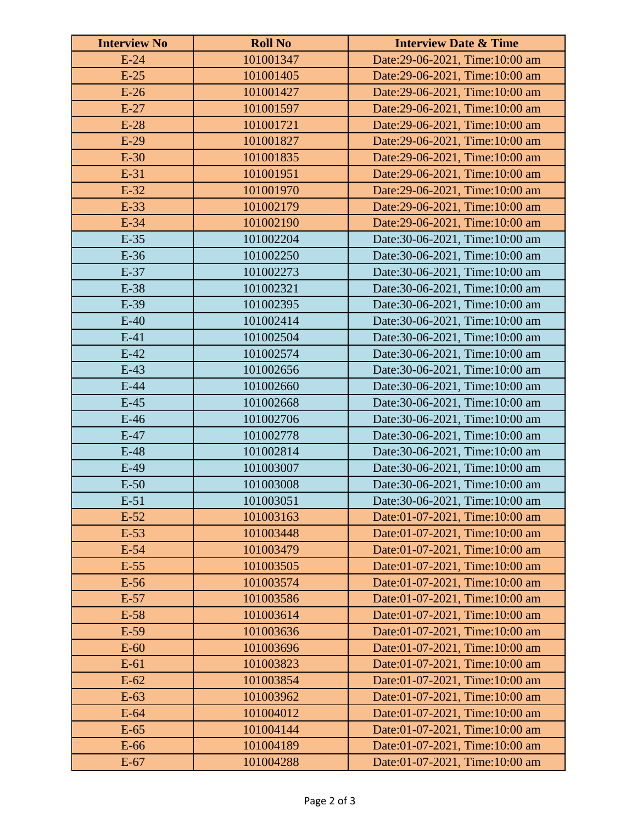| <b>Interview No</b> | <b>Roll No</b> | <b>Interview Date &amp; Time</b> |
|---------------------|----------------|----------------------------------|
| $E-24$              | 101001347      | Date:29-06-2021, Time:10:00 am   |
| $E-25$              | 101001405      | Date:29-06-2021, Time:10:00 am   |
| $E-26$              | 101001427      | Date:29-06-2021, Time:10:00 am   |
| $E-27$              | 101001597      | Date:29-06-2021, Time:10:00 am   |
| $E-28$              | 101001721      | Date:29-06-2021, Time:10:00 am   |
| $E-29$              | 101001827      | Date:29-06-2021, Time:10:00 am   |
| $E-30$              | 101001835      | Date:29-06-2021, Time:10:00 am   |
| $E-31$              | 101001951      | Date:29-06-2021, Time:10:00 am   |
| $E-32$              | 101001970      | Date:29-06-2021, Time:10:00 am   |
| E-33                | 101002179      | Date:29-06-2021, Time:10:00 am   |
| E-34                | 101002190      | Date:29-06-2021, Time:10:00 am   |
| $E-35$              | 101002204      | Date:30-06-2021, Time:10:00 am   |
| E-36                | 101002250      | Date:30-06-2021, Time:10:00 am   |
| E-37                | 101002273      | Date:30-06-2021, Time:10:00 am   |
| E-38                | 101002321      | Date:30-06-2021, Time:10:00 am   |
| E-39                | 101002395      | Date:30-06-2021, Time:10:00 am   |
| $E-40$              | 101002414      | Date:30-06-2021, Time:10:00 am   |
| $E-41$              | 101002504      | Date:30-06-2021, Time:10:00 am   |
| $E-42$              | 101002574      | Date:30-06-2021, Time:10:00 am   |
| $E-43$              | 101002656      | Date:30-06-2021, Time:10:00 am   |
| $E-44$              | 101002660      | Date:30-06-2021, Time:10:00 am   |
| $E-45$              | 101002668      | Date:30-06-2021, Time:10:00 am   |
| $E-46$              | 101002706      | Date:30-06-2021, Time:10:00 am   |
| $E-47$              | 101002778      | Date:30-06-2021, Time:10:00 am   |
| $E-48$              | 101002814      | Date:30-06-2021, Time:10:00 am   |
| $E-49$              | 101003007      | Date:30-06-2021, Time:10:00 am   |
| $E-50$              | 101003008      | Date:30-06-2021, Time:10:00 am   |
| $E-51$              | 101003051      | Date:30-06-2021, Time:10:00 am   |
| $E-52$              | 101003163      | Date:01-07-2021, Time:10:00 am   |
| $E-53$              | 101003448      | Date:01-07-2021, Time:10:00 am   |
| $E-54$              | 101003479      | Date:01-07-2021, Time:10:00 am   |
| $E-55$              | 101003505      | Date:01-07-2021, Time:10:00 am   |
| $E-56$              | 101003574      | Date:01-07-2021, Time:10:00 am   |
| $E-57$              | 101003586      | Date:01-07-2021, Time:10:00 am   |
| $E-58$              | 101003614      | Date:01-07-2021, Time:10:00 am   |
| $E-59$              | 101003636      | Date:01-07-2021, Time:10:00 am   |
| $E-60$              | 101003696      | Date:01-07-2021, Time:10:00 am   |
| $E-61$              | 101003823      | Date:01-07-2021, Time:10:00 am   |
| $E-62$              | 101003854      | Date:01-07-2021, Time:10:00 am   |
| $E-63$              | 101003962      | Date:01-07-2021, Time:10:00 am   |
| $E-64$              | 101004012      | Date:01-07-2021, Time:10:00 am   |
| $E-65$              | 101004144      | Date:01-07-2021, Time:10:00 am   |
| $E-66$              | 101004189      | Date:01-07-2021, Time:10:00 am   |
| $E-67$              | 101004288      | Date:01-07-2021, Time:10:00 am   |